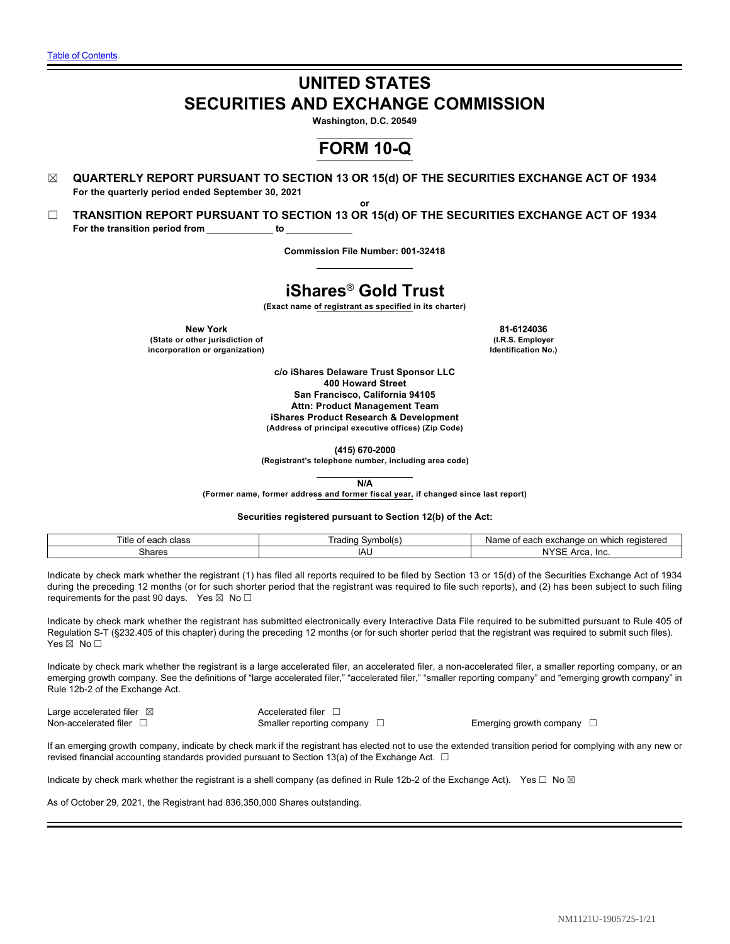# **UNITED STATES SECURITIES AND EXCHANGE COMMISSION**

**Washington, D.C. 20549**

# **FORM 10-Q**

- ☒ **QUARTERLY REPORT PURSUANT TO SECTION 13 OR 15(d) OF THE SECURITIES EXCHANGE ACT OF 1934 For the quarterly period ended September 30, 2021**
- ☐ **TRANSITION REPORT PURSUANT TO SECTION 13 OR 15(d) OF THE SECURITIES EXCHANGE ACT OF 1934** For the transition period from \_\_\_\_\_\_\_\_\_\_\_\_ to

**Commission File Number: 001-32418**

**or**

# **iShares**® **Gold Trust**

**(Exact name of registrant as specified in its charter)**

**New York 81-6124036 (State or other jurisdiction of incorporation or organization)**

**(I.R.S. Employer Identification No.)**

**c/o iShares Delaware Trust Sponsor LLC 400 Howard Street San Francisco, California 94105 Attn: Product Management Team iShares Product Research & Development (Address of principal executive offices) (Zip Code)**

**(415) 670-2000**

**(Registrant's telephone number, including area code)**

**N/A**

**(Former name, former address and former fiscal year, if changed since last report)**

**Securities registered pursuant to Section 12(b) of the Act:**

| Title<br>cloce<br>$\sim$ $\sim$ $\sim$ $\sim$<br>- -<br>cau.<br>. udse<br>υı | radinc<br>nolls) | n<br>exchange<br>registered<br>ı whicl<br>Nar<br>$\sim$<br>eacı<br>ູ |
|------------------------------------------------------------------------------|------------------|----------------------------------------------------------------------|
| Shares                                                                       | IAL              | $\mathbf{N}$<br>$\sim$<br>$\mathbf{r}$<br>חר.י<br><b>OUT</b><br>┅    |

Indicate by check mark whether the registrant (1) has filed all reports required to be filed by Section 13 or 15(d) of the Securities Exchange Act of 1934 during the preceding 12 months (or for such shorter period that the registrant was required to file such reports), and (2) has been subject to such filing requirements for the past 90 days. Yes  $\boxtimes$  No $\square$ 

Indicate by check mark whether the registrant has submitted electronically every Interactive Data File required to be submitted pursuant to Rule 405 of Regulation S-T (§232.405 of this chapter) during the preceding 12 months (or for such shorter period that the registrant was required to submit such files). Yes ⊠ No □

Indicate by check mark whether the registrant is a large accelerated filer, an accelerated filer, a non-accelerated filer, a smaller reporting company, or an emerging growth company. See the definitions of "large accelerated filer," "accelerated filer," "smaller reporting company" and "emerging growth company" in Rule 12b-2 of the Exchange Act.

Large accelerated filer  $□$  Accelerated filer  $□$ Non-accelerated filer □ smaller reporting company □ Emerging growth company □

If an emerging growth company, indicate by check mark if the registrant has elected not to use the extended transition period for complying with any new or revised financial accounting standards provided pursuant to Section 13(a) of the Exchange Act.  $\Box$ 

Indicate by check mark whether the registrant is a shell company (as defined in Rule 12b-2 of the Exchange Act). Yes  $\Box$  No  $\boxtimes$ 

As of October 29, 2021, the Registrant had 836,350,000 Shares outstanding.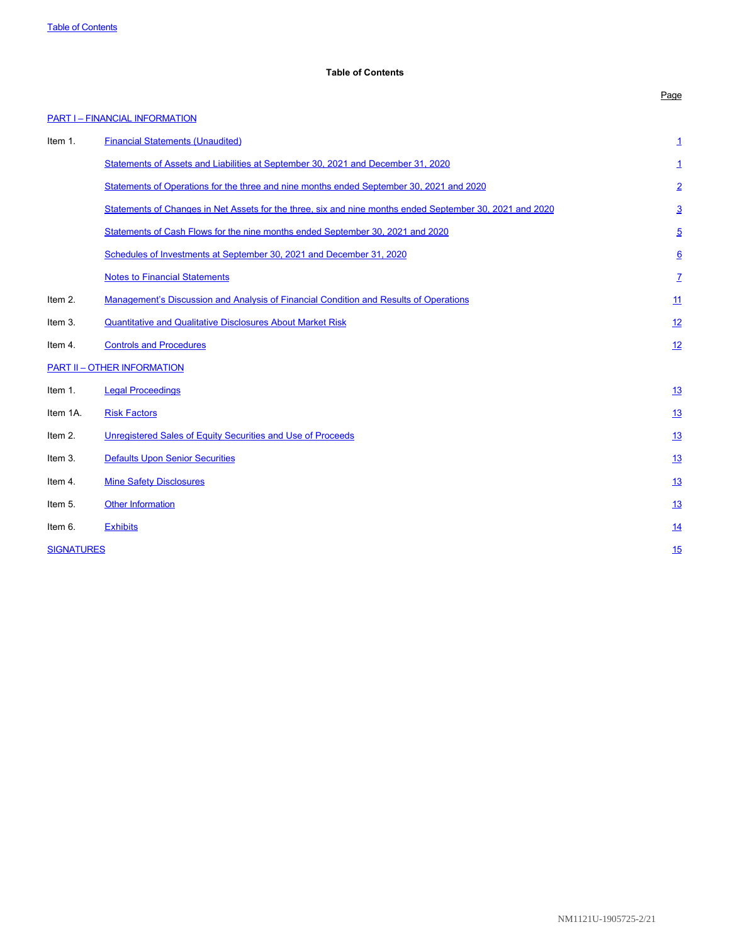# <span id="page-1-0"></span>**Table of Contents**

# **[PART I – FINANCIAL INFORMATION](#page-2-0) Item [1](#page-2-0).** [Financial Statements \(Unaudited\)](#page-2-0) **1 1** [Statements of Assets and Liabilities at September 30, 2021 and December 31, 2020](#page-2-0) [1](#page-2-0) 1 1 2020 [Statements of Operations for the three and nine months ended September 30, 2021 and 2020](#page-3-0) [2](#page-3-0) [Statements of Changes in Net Assets for the three, six and nine months ended September 30, 2021 and 2020](#page-4-0) [3](#page-4-0) [Statements of Cash Flows for the nine months ended September 30, 2021 and 2020](#page-6-0) [5](#page-6-0) [Schedules of Investments at September 30, 2021 and December 31, 2020](#page-7-0) [6](#page-7-0) [Notes to Financial Statements](#page-8-0) **[7](#page-8-0)** and 2000 *n* and 2000 *n* and 2000 *n* and 2000 *n* and 2000 *n* and 2000 *n* and 2000 *n* and 2000 *n* and 2000 *n* and 2000 *n* and 2000 *n* and 2000 *n* and 2000 Item 2. [Management's Discussion and Analysis of Financial Condition and Results of Operations](#page-12-0) [11](#page-12-0) Item 3. [Quantitative and Qualitative Disclosures About Market Risk](#page-13-0) [12](#page-13-0) Item 4. [Controls and Procedures](#page-13-1) **[12](#page-13-1) [PART II – OTHER INFORMATION](#page-14-0)** Item 1. [Legal Proceedings](#page-14-1) **[13](#page-14-1)** Item 1A. [Risk Factors](#page-14-2) 2008 and the second control of the second control of the second control of the second control of the second control of the second control of the second control of the second control of the second cont Item 2. **Internal Contract [Unregistered Sales of Equity Securities and Use of Proceeds](#page-14-3)** [13](#page-14-3) **Item 3.** [Defaults Upon Senior Securities](#page-14-4) [13](#page-14-4) **Item 4.** [Mine Safety Disclosures](#page-14-5) [13](#page-14-5) **If the Information [13](#page-14-6) [Other Information](#page-14-6)** 13 Item 6. [Exhibits](#page-15-0) [14](#page-15-0) Australian Control of the Control of the Control of the Control of the Control of the Control of the Control of the Control of the Control of the Control of the Control of the Control of the Control of **[SIGNATURES](#page-16-0) [15](#page-16-0) AND 15 AND 15 AND 15 AND 15 AND 15 AND 15 AND 15 AND 15 AND 15 AND 15 AND 15 AND 15 AND 15 AND 15**

Page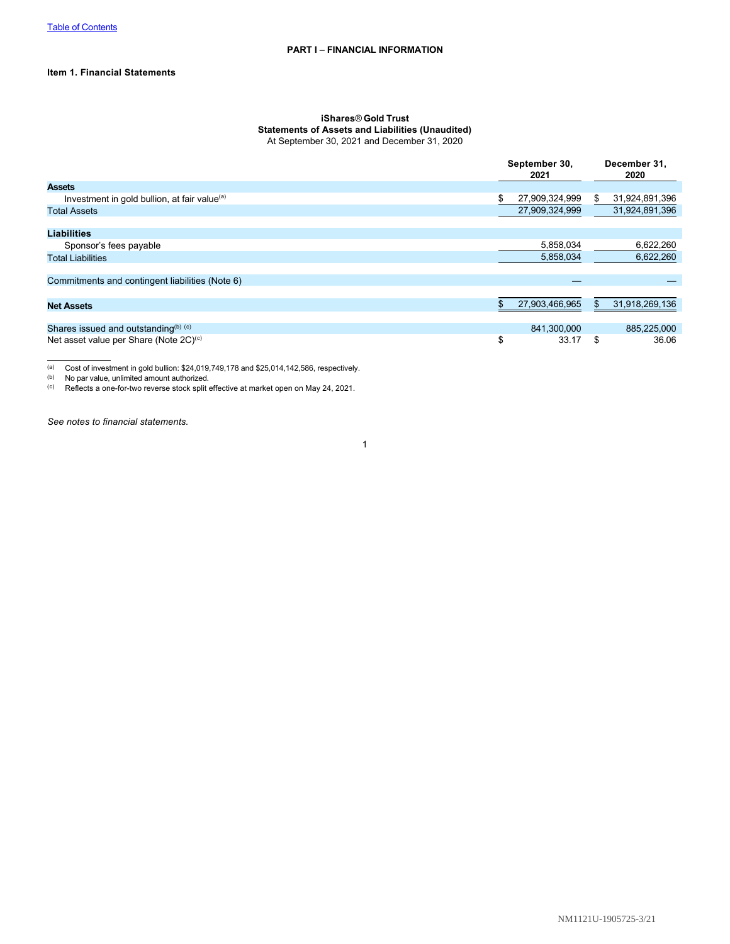# **Item 1. Financial Statements**

# <span id="page-2-0"></span>**iShares**® **Gold Trust Statements of Assets and Liabilities (Unaudited)** At September 30, 2021 and December 31, 2020

|                                                          | September 30,<br>2021 |                |    | December 31,<br>2020 |
|----------------------------------------------------------|-----------------------|----------------|----|----------------------|
| <b>Assets</b>                                            |                       |                |    |                      |
| Investment in gold bullion, at fair value <sup>(a)</sup> | \$                    | 27,909,324,999 | S. | 31,924,891,396       |
| <b>Total Assets</b>                                      |                       | 27,909,324,999 |    | 31,924,891,396       |
|                                                          |                       |                |    |                      |
| <b>Liabilities</b>                                       |                       |                |    |                      |
| Sponsor's fees payable                                   |                       | 5,858,034      |    | 6,622,260            |
| <b>Total Liabilities</b>                                 |                       | 5,858,034      |    | 6,622,260            |
|                                                          |                       |                |    |                      |
| Commitments and contingent liabilities (Note 6)          |                       |                |    |                      |
|                                                          |                       |                |    |                      |
| <b>Net Assets</b>                                        |                       | 27,903,466,965 |    | 31,918,269,136       |
|                                                          |                       |                |    |                      |
| Shares issued and outstanding $(b)$ (c)                  |                       | 841.300.000    |    | 885,225,000          |
| Net asset value per Share (Note 2C) <sup>(c)</sup>       | \$                    | 33.17          | S  | 36.06                |

(a) Cost of investment in gold bullion:  $$24,019,749,178$  and  $$25,014,142,586$ , respectively.<br>(b) No par value, unlimited amount authorized.

(b) No par value, unlimited amount authorized.<br>(c) Reflects a one-for-two reverse stock split

(c) Reflects a one-for-two reverse stock split effective at market open on May 24, 2021.

*See notes to financial statements.*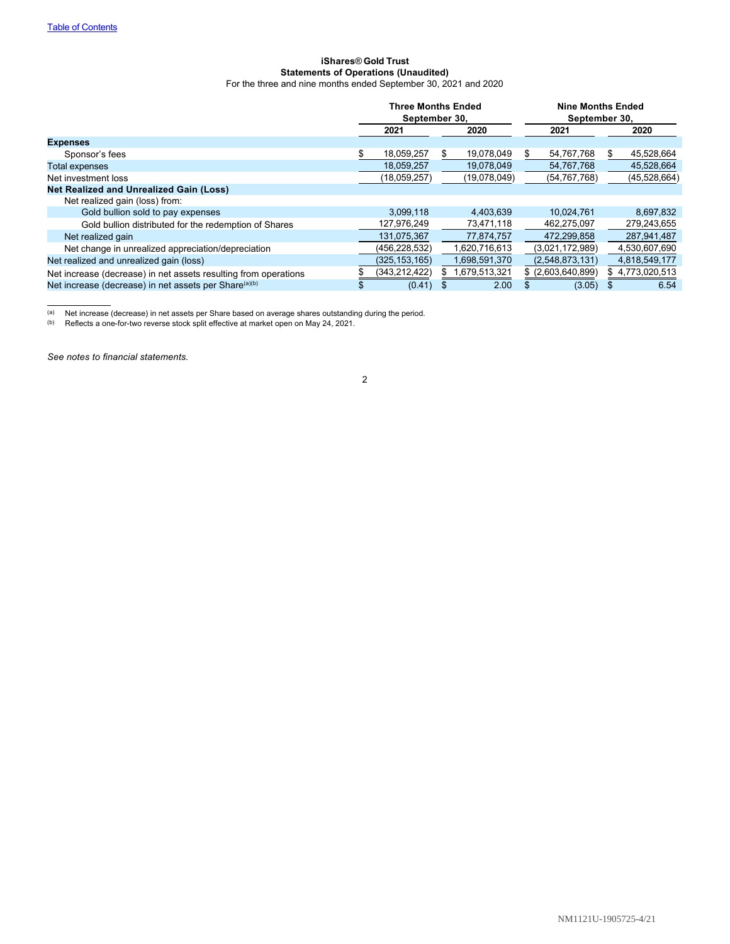# <span id="page-3-0"></span>**iShares**® **Gold Trust Statements of Operations (Unaudited)** For the three and nine months ended September 30, 2021 and 2020

|                                                                   | <b>Three Months Ended</b><br>September 30, |                 |    | <b>Nine Months Ended</b><br>September 30, |    |                     |    |                 |
|-------------------------------------------------------------------|--------------------------------------------|-----------------|----|-------------------------------------------|----|---------------------|----|-----------------|
|                                                                   |                                            | 2021            |    | 2020                                      |    | 2021                |    | 2020            |
| <b>Expenses</b>                                                   |                                            |                 |    |                                           |    |                     |    |                 |
| Sponsor's fees                                                    |                                            | 18,059,257      | \$ | 19,078,049                                | S. | 54,767,768          | \$ | 45,528,664      |
| <b>Total expenses</b>                                             |                                            | 18,059,257      |    | 19.078.049                                |    | 54,767,768          |    | 45,528,664      |
| Net investment loss                                               |                                            | (18,059,257)    |    | (19,078,049)                              |    | (54, 767, 768)      |    | (45, 528, 664)  |
| <b>Net Realized and Unrealized Gain (Loss)</b>                    |                                            |                 |    |                                           |    |                     |    |                 |
| Net realized gain (loss) from:                                    |                                            |                 |    |                                           |    |                     |    |                 |
| Gold bullion sold to pay expenses                                 |                                            | 3.099.118       |    | 4.403.639                                 |    | 10.024.761          |    | 8,697,832       |
| Gold bullion distributed for the redemption of Shares             |                                            | 127,976,249     |    | 73,471,118                                |    | 462,275,097         |    | 279,243,655     |
| Net realized gain                                                 |                                            | 131,075,367     |    | 77,874,757                                |    | 472,299,858         |    | 287,941,487     |
| Net change in unrealized appreciation/depreciation                |                                            | (456, 228, 532) |    | 1.620.716.613                             |    | (3.021, 172, 989)   |    | 4,530,607,690   |
| Net realized and unrealized gain (loss)                           |                                            | (325, 153, 165) |    | 1,698,591,370                             |    | (2,548,873,131)     |    | 4,818,549,177   |
| Net increase (decrease) in net assets resulting from operations   |                                            | (343, 212, 422) | æ. | 1,679,513,321                             |    | $$$ (2,603,640,899) |    | \$4,773,020,513 |
| Net increase (decrease) in net assets per Share <sup>(a)(b)</sup> |                                            | (0.41)          |    | 2.00                                      |    | (3.05)              |    | 6.54            |

<sup>(a)</sup> Net increase (decrease) in net assets per Share based on average shares outstanding during the period.

(b) Reflects a one-for-two reverse stock split effective at market open on May 24, 2021.

*See notes to financial statements.*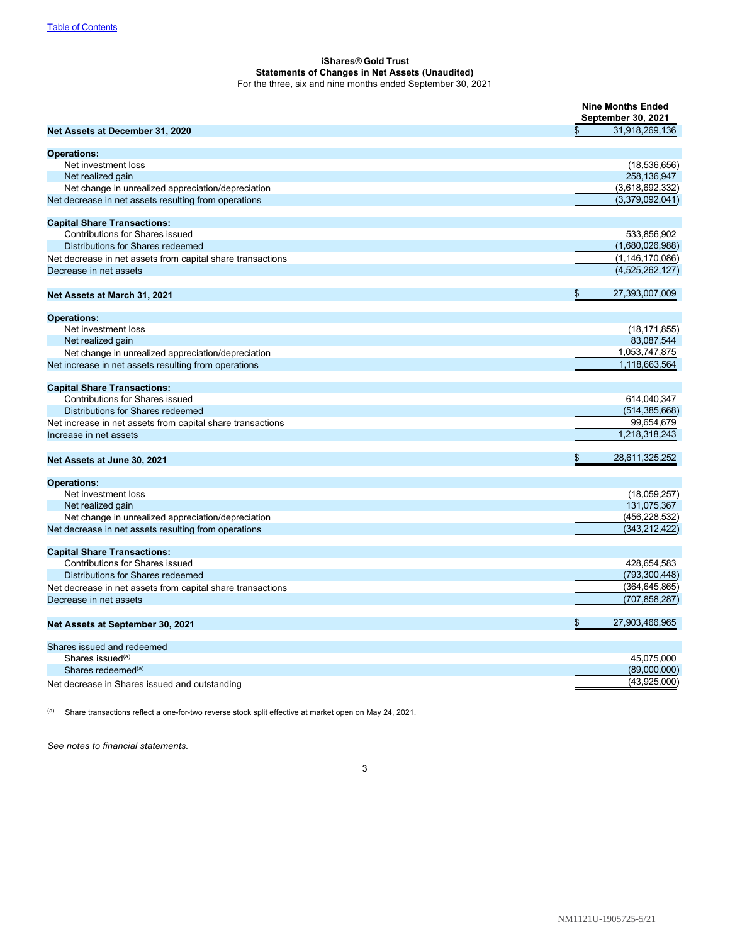# <span id="page-4-0"></span>**iShares**® **Gold Trust Statements of Changes in Net Assets (Unaudited)** For the three, six and nine months ended September 30, 2021

|                                                            | <b>Nine Months Ended</b><br>September 30, 2021 |
|------------------------------------------------------------|------------------------------------------------|
| Net Assets at December 31, 2020                            | \$<br>31,918,269,136                           |
| <b>Operations:</b>                                         |                                                |
| Net investment loss                                        | (18, 536, 656)                                 |
| Net realized gain                                          | 258,136,947                                    |
| Net change in unrealized appreciation/depreciation         | (3,618,692,332)                                |
| Net decrease in net assets resulting from operations       | (3,379,092,041)                                |
| <b>Capital Share Transactions:</b>                         |                                                |
| <b>Contributions for Shares issued</b>                     | 533,856,902                                    |
| Distributions for Shares redeemed                          | (1,680,026,988)                                |
| Net decrease in net assets from capital share transactions | (1, 146, 170, 086)                             |
| Decrease in net assets                                     | (4,525,262,127)                                |
| Net Assets at March 31, 2021                               | \$<br>27,393,007,009                           |
|                                                            |                                                |
| <b>Operations:</b>                                         |                                                |
| Net investment loss                                        | (18, 171, 855)                                 |
| Net realized gain                                          | 83,087,544                                     |
| Net change in unrealized appreciation/depreciation         | 1,053,747,875                                  |
| Net increase in net assets resulting from operations       | 1.118.663.564                                  |
| <b>Capital Share Transactions:</b>                         |                                                |
| <b>Contributions for Shares issued</b>                     | 614,040,347                                    |
| Distributions for Shares redeemed                          | (514, 385, 668)                                |
| Net increase in net assets from capital share transactions | 99,654,679                                     |
| Increase in net assets                                     | 1,218,318,243                                  |
| Net Assets at June 30, 2021                                | \$<br>28,611,325,252                           |
| <b>Operations:</b>                                         |                                                |
| Net investment loss                                        | (18,059,257)                                   |
| Net realized gain                                          | 131,075,367                                    |
| Net change in unrealized appreciation/depreciation         | (456, 228, 532)                                |
| Net decrease in net assets resulting from operations       | (343,212,422)                                  |
| <b>Capital Share Transactions:</b>                         |                                                |
| <b>Contributions for Shares issued</b>                     | 428,654,583                                    |
| Distributions for Shares redeemed                          | (793, 300, 448)                                |
| Net decrease in net assets from capital share transactions | (364, 645, 865)                                |
| Decrease in net assets                                     | (707,858,287)                                  |
| Net Assets at September 30, 2021                           | \$<br>27,903,466,965                           |
| Shares issued and redeemed                                 |                                                |
| Shares issued <sup>(a)</sup>                               | 45,075,000                                     |
| Shares redeemed <sup>(a)</sup>                             | (89,000,000)                                   |
| Net decrease in Shares issued and outstanding              | (43,925,000)                                   |

(a) Share transactions reflect a one-for-two reverse stock split effective at market open on May 24, 2021.

*See notes to financial statements.*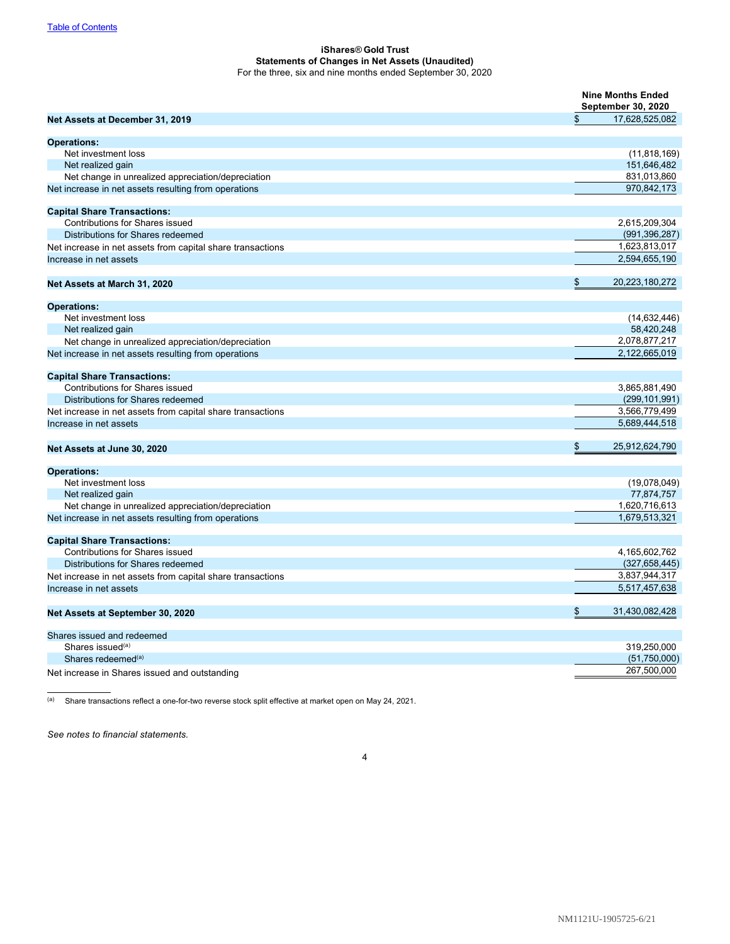# **iShares**® **Gold Trust Statements of Changes in Net Assets (Unaudited)** For the three, six and nine months ended September 30, 2020

|                                                            |                      | <b>Nine Months Ended</b><br><b>September 30, 2020</b> |  |  |
|------------------------------------------------------------|----------------------|-------------------------------------------------------|--|--|
| Net Assets at December 31, 2019                            | \$<br>17,628,525,082 |                                                       |  |  |
| <b>Operations:</b>                                         |                      |                                                       |  |  |
| Net investment loss                                        | (11, 818, 169)       |                                                       |  |  |
| Net realized gain                                          | 151,646,482          |                                                       |  |  |
| Net change in unrealized appreciation/depreciation         | 831,013,860          |                                                       |  |  |
| Net increase in net assets resulting from operations       | 970,842,173          |                                                       |  |  |
| <b>Capital Share Transactions:</b>                         |                      |                                                       |  |  |
| <b>Contributions for Shares issued</b>                     | 2,615,209,304        |                                                       |  |  |
| Distributions for Shares redeemed                          | (991, 396, 287)      |                                                       |  |  |
| Net increase in net assets from capital share transactions | 1,623,813,017        |                                                       |  |  |
| Increase in net assets                                     | 2,594,655,190        |                                                       |  |  |
| Net Assets at March 31, 2020                               | \$<br>20,223,180,272 |                                                       |  |  |
| <b>Operations:</b>                                         |                      |                                                       |  |  |
| Net investment loss                                        | (14, 632, 446)       |                                                       |  |  |
| Net realized gain                                          | 58,420,248           |                                                       |  |  |
| Net change in unrealized appreciation/depreciation         | 2,078,877,217        |                                                       |  |  |
| Net increase in net assets resulting from operations       | 2,122,665,019        |                                                       |  |  |
| <b>Capital Share Transactions:</b>                         |                      |                                                       |  |  |
| <b>Contributions for Shares issued</b>                     | 3,865,881,490        |                                                       |  |  |
| Distributions for Shares redeemed                          | (299, 101, 991)      |                                                       |  |  |
| Net increase in net assets from capital share transactions | 3,566,779,499        |                                                       |  |  |
| Increase in net assets                                     | 5,689,444,518        |                                                       |  |  |
| Net Assets at June 30, 2020                                | \$<br>25,912,624,790 |                                                       |  |  |
| <b>Operations:</b>                                         |                      |                                                       |  |  |
| Net investment loss                                        | (19,078,049)         |                                                       |  |  |
| Net realized gain                                          | 77,874,757           |                                                       |  |  |
| Net change in unrealized appreciation/depreciation         | 1,620,716,613        |                                                       |  |  |
| Net increase in net assets resulting from operations       | 1,679,513,321        |                                                       |  |  |
| <b>Capital Share Transactions:</b>                         |                      |                                                       |  |  |
| Contributions for Shares issued                            | 4,165,602,762        |                                                       |  |  |
| Distributions for Shares redeemed                          | (327, 658, 445)      |                                                       |  |  |
| Net increase in net assets from capital share transactions | 3,837,944,317        |                                                       |  |  |
| Increase in net assets                                     | 5,517,457,638        |                                                       |  |  |
| Net Assets at September 30, 2020                           | 31,430,082,428<br>\$ |                                                       |  |  |
| Shares issued and redeemed                                 |                      |                                                       |  |  |
| Shares issued <sup>(a)</sup>                               | 319,250,000          |                                                       |  |  |
| Shares redeemed <sup>(a)</sup>                             | (51,750,000)         |                                                       |  |  |
| Net increase in Shares issued and outstanding              | 267,500,000          |                                                       |  |  |

(a) Share transactions reflect a one-for-two reverse stock split effective at market open on May 24, 2021.

*See notes to financial statements.*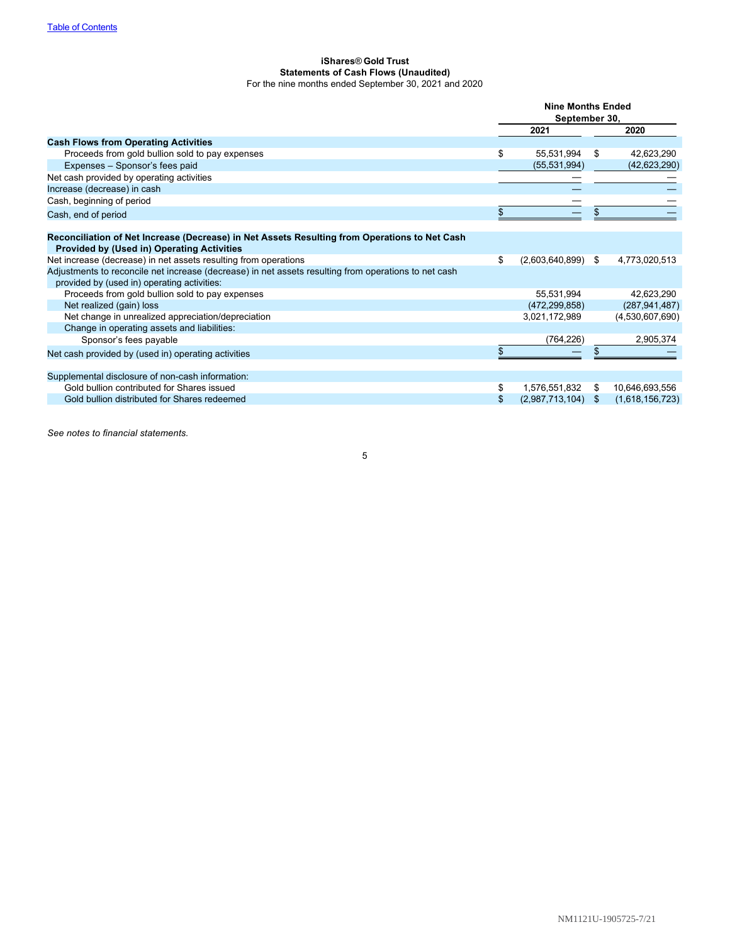# <span id="page-6-0"></span>**iShares**® **Gold Trust Statements of Cash Flows (Unaudited)** For the nine months ended September 30, 2021 and 2020

| <b>Cash Flows from Operating Activities</b><br>Proceeds from gold bullion sold to pay expenses<br>\$<br>Expenses - Sponsor's fees paid<br>Net cash provided by operating activities<br>Increase (decrease) in cash | 2021<br>55,531,994<br>(55, 531, 994) | \$<br>2020<br>42,623,290 |
|--------------------------------------------------------------------------------------------------------------------------------------------------------------------------------------------------------------------|--------------------------------------|--------------------------|
|                                                                                                                                                                                                                    |                                      |                          |
|                                                                                                                                                                                                                    |                                      |                          |
|                                                                                                                                                                                                                    |                                      |                          |
|                                                                                                                                                                                                                    |                                      | (42, 623, 290)           |
|                                                                                                                                                                                                                    |                                      |                          |
|                                                                                                                                                                                                                    |                                      |                          |
| Cash, beginning of period                                                                                                                                                                                          |                                      |                          |
| \$<br>Cash, end of period                                                                                                                                                                                          |                                      |                          |
| Reconciliation of Net Increase (Decrease) in Net Assets Resulting from Operations to Net Cash<br><b>Provided by (Used in) Operating Activities</b>                                                                 |                                      |                          |
| Net increase (decrease) in net assets resulting from operations<br>\$                                                                                                                                              | $(2,603,640,899)$ \$                 | 4,773,020,513            |
| Adjustments to reconcile net increase (decrease) in net assets resulting from operations to net cash<br>provided by (used in) operating activities:                                                                |                                      |                          |
| Proceeds from gold bullion sold to pay expenses                                                                                                                                                                    | 55,531,994                           | 42,623,290               |
| Net realized (gain) loss                                                                                                                                                                                           | (472, 299, 858)                      | (287, 941, 487)          |
| Net change in unrealized appreciation/depreciation                                                                                                                                                                 | 3,021,172,989                        | (4,530,607,690)          |
| Change in operating assets and liabilities:                                                                                                                                                                        |                                      |                          |
| Sponsor's fees payable                                                                                                                                                                                             | (764, 226)                           | 2,905,374                |
| Net cash provided by (used in) operating activities                                                                                                                                                                |                                      |                          |
| Supplemental disclosure of non-cash information:                                                                                                                                                                   |                                      |                          |
| Gold bullion contributed for Shares issued<br>\$                                                                                                                                                                   | 1,576,551,832                        | \$<br>10,646,693,556     |
| Gold bullion distributed for Shares redeemed<br>\$                                                                                                                                                                 | $(2,987,713,104)$ \$                 | (1,618,156,723)          |

*See notes to financial statements.*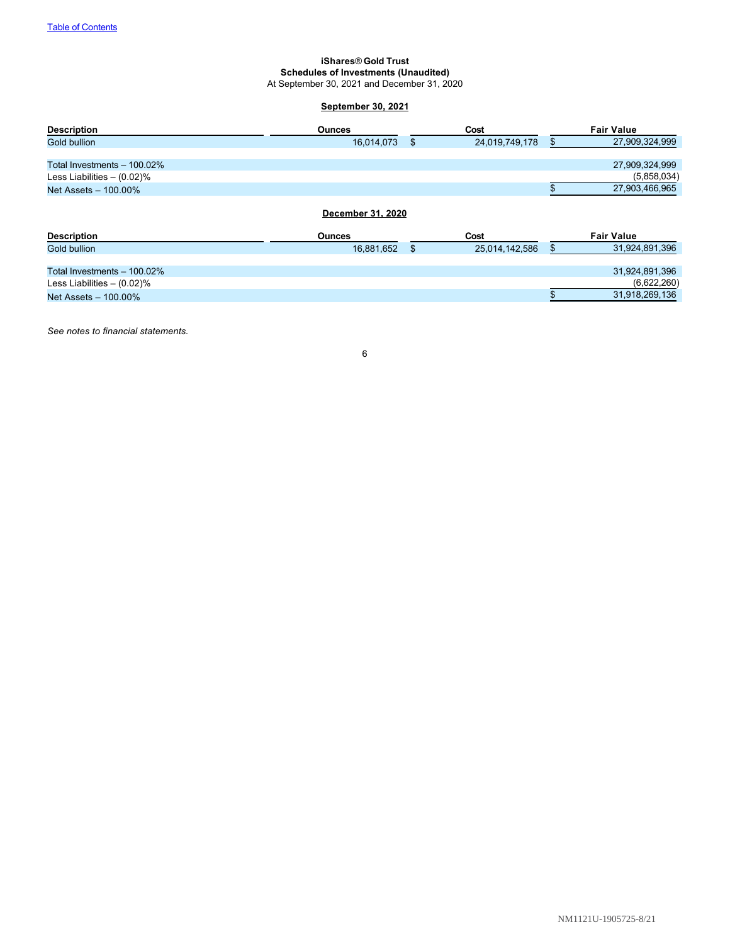# **iShares**® **Gold Trust Schedules of Investments (Unaudited)** At September 30, 2021 and December 31, 2020

# <span id="page-7-0"></span>**September 30, 2021**

| <b>Description</b>            | <b>Ounces</b>     | Cost                 | <b>Fair Value</b>    |
|-------------------------------|-------------------|----------------------|----------------------|
| Gold bullion                  | 16,014,073        | \$<br>24,019,749,178 | \$<br>27,909,324,999 |
|                               |                   |                      |                      |
| Total Investments - 100.02%   |                   |                      | 27,909,324,999       |
| Less Liabilities $-$ (0.02)%  |                   |                      | (5,858,034)          |
| Net Assets - 100.00%          |                   |                      | 27,903,466,965       |
|                               |                   |                      |                      |
|                               | December 31, 2020 |                      |                      |
| <b>Description</b>            | <b>Ounces</b>     | Cost                 | <b>Fair Value</b>    |
| Gold bullion                  | 16,881,652        | \$<br>25,014,142,586 | \$<br>31,924,891,396 |
|                               |                   |                      |                      |
| Total Investments - 100.02%   |                   |                      | 31,924,891,396       |
| Less Liabilities $- (0.02)\%$ |                   |                      | (6,622,260)          |
| Net Assets - 100.00%          |                   |                      | 31,918,269,136       |

*See notes to financial statements.*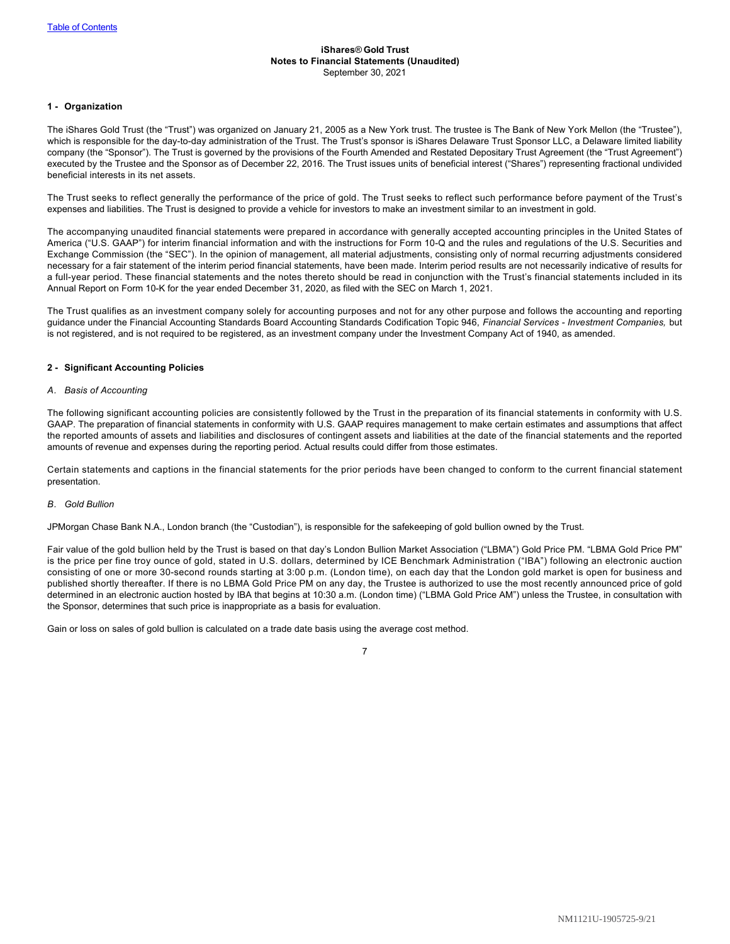### <span id="page-8-0"></span>**iShares**® **Gold Trust Notes to Financial Statements (Unaudited)** September 30, 2021

# **1 - Organization**

The iShares Gold Trust (the "Trust") was organized on January 21, 2005 as a New York trust. The trustee is The Bank of New York Mellon (the "Trustee"), which is responsible for the day-to-day administration of the Trust. The Trust's sponsor is iShares Delaware Trust Sponsor LLC, a Delaware limited liability company (the "Sponsor"). The Trust is governed by the provisions of the Fourth Amended and Restated Depositary Trust Agreement (the "Trust Agreement") executed by the Trustee and the Sponsor as of December 22, 2016. The Trust issues units of beneficial interest ("Shares") representing fractional undivided beneficial interests in its net assets.

The Trust seeks to reflect generally the performance of the price of gold. The Trust seeks to reflect such performance before payment of the Trust's expenses and liabilities. The Trust is designed to provide a vehicle for investors to make an investment similar to an investment in gold.

The accompanying unaudited financial statements were prepared in accordance with generally accepted accounting principles in the United States of America ("U.S. GAAP") for interim financial information and with the instructions for Form 10-Q and the rules and regulations of the U.S. Securities and Exchange Commission (the "SEC"). In the opinion of management, all material adjustments, consisting only of normal recurring adjustments considered necessary for a fair statement of the interim period financial statements, have been made. Interim period results are not necessarily indicative of results for a full-year period. These financial statements and the notes thereto should be read in conjunction with the Trust's financial statements included in its Annual Report on Form 10-K for the year ended December 31, 2020, as filed with the SEC on March 1, 2021.

The Trust qualifies as an investment company solely for accounting purposes and not for any other purpose and follows the accounting and reporting guidance under the Financial Accounting Standards Board Accounting Standards Codification Topic 946, *Financial Services - Investment Companies,* but is not registered, and is not required to be registered, as an investment company under the Investment Company Act of 1940, as amended.

# **2 - Significant Accounting Policies**

# *A. Basis of Accounting*

The following significant accounting policies are consistently followed by the Trust in the preparation of its financial statements in conformity with U.S. GAAP. The preparation of financial statements in conformity with U.S. GAAP requires management to make certain estimates and assumptions that affect the reported amounts of assets and liabilities and disclosures of contingent assets and liabilities at the date of the financial statements and the reported amounts of revenue and expenses during the reporting period. Actual results could differ from those estimates.

Certain statements and captions in the financial statements for the prior periods have been changed to conform to the current financial statement presentation.

#### *B. Gold Bullion*

JPMorgan Chase Bank N.A., London branch (the "Custodian"), is responsible for the safekeeping of gold bullion owned by the Trust.

Fair value of the gold bullion held by the Trust is based on that day's London Bullion Market Association ("LBMA") Gold Price PM. "LBMA Gold Price PM" is the price per fine troy ounce of gold, stated in U.S. dollars, determined by ICE Benchmark Administration ("IBA") following an electronic auction consisting of one or more 30-second rounds starting at 3:00 p.m. (London time), on each day that the London gold market is open for business and published shortly thereafter. If there is no LBMA Gold Price PM on any day, the Trustee is authorized to use the most recently announced price of gold determined in an electronic auction hosted by IBA that begins at 10:30 a.m. (London time) ("LBMA Gold Price AM") unless the Trustee, in consultation with the Sponsor, determines that such price is inappropriate as a basis for evaluation.

Gain or loss on sales of gold bullion is calculated on a trade date basis using the average cost method.

| I |  |
|---|--|
|   |  |
|   |  |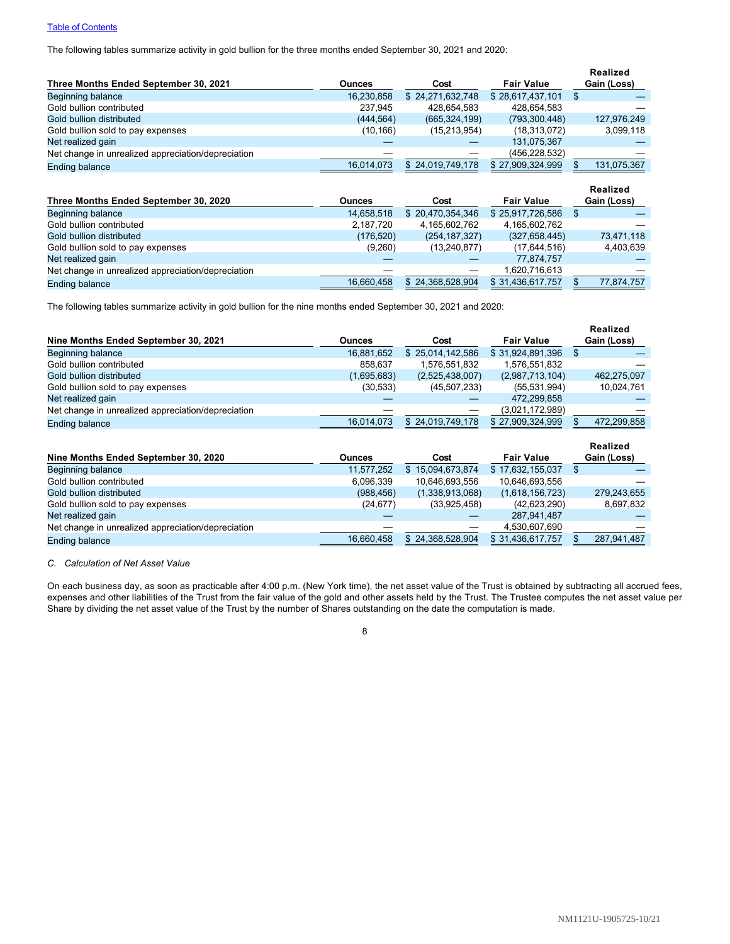# **[Table of Contents](#page-1-0)**

The following tables summarize activity in gold bullion for the three months ended September 30, 2021 and 2020:

|                                                    |               |                  |                   | Realized    |
|----------------------------------------------------|---------------|------------------|-------------------|-------------|
| Three Months Ended September 30, 2021              | <b>Ounces</b> | Cost             | <b>Fair Value</b> | Gain (Loss) |
| Beginning balance                                  | 16.230.858    | \$24.271.632.748 | \$28,617,437,101  | \$          |
| Gold bullion contributed                           | 237.945       | 428.654.583      | 428.654.583       |             |
| Gold bullion distributed                           | (444, 564)    | (665, 324, 199)  | (793, 300, 448)   | 127,976,249 |
| Gold bullion sold to pay expenses                  | (10, 166)     | (15, 213, 954)   | (18, 313, 072)    | 3,099,118   |
| Net realized gain                                  |               |                  | 131,075,367       |             |
| Net change in unrealized appreciation/depreciation |               |                  | (456,228,532)     |             |
| <b>Ending balance</b>                              | 16,014,073    | \$24.019.749.178 | \$27,909,324,999  | 131,075,367 |
|                                                    |               |                  |                   | Realized    |
| Three Months Ended September 30, 2020              | <b>Ounces</b> | Cost             | <b>Fair Value</b> | Gain (Loss) |
| Beginning balance                                  | 14.658.518    | \$20,470,354,346 | \$25,917,726,586  | \$          |
| Gold bullion contributed                           | 2,187,720     | 4,165,602,762    | 4,165,602,762     |             |
| Gold bullion distributed                           | (176, 520)    | (254, 187, 327)  | (327, 658, 445)   | 73,471,118  |

| Gold bullion sold to pay expenses                  | (9,260)    | (13.240.877      | (17.644.516)     | 4.403.639  |
|----------------------------------------------------|------------|------------------|------------------|------------|
| Net realized gain                                  |            |                  | 77.874.757       |            |
| Net change in unrealized appreciation/depreciation |            |                  | 1.620.716.613    | __         |
| Ending balance                                     | 16.660.458 | \$24.368.528.904 | \$31.436.617.757 | 77.874.757 |

The following tables summarize activity in gold bullion for the nine months ended September 30, 2021 and 2020:

|                                                    |               |                  |                   | Realized    |
|----------------------------------------------------|---------------|------------------|-------------------|-------------|
| Nine Months Ended September 30, 2021               | <b>Ounces</b> | Cost             | <b>Fair Value</b> | Gain (Loss) |
| Beginning balance                                  | 16.881.652    | \$25,014,142,586 | \$31,924,891,396  |             |
| Gold bullion contributed                           | 858.637       | 1,576,551,832    | 1,576,551,832     |             |
| Gold bullion distributed                           | (1,695,683)   | (2,525,438,007)  | (2,987,713,104)   | 462,275,097 |
| Gold bullion sold to pay expenses                  | (30, 533)     | (45, 507, 233)   | (55, 531, 994)    | 10,024,761  |
| Net realized gain                                  |               |                  | 472,299,858       |             |
| Net change in unrealized appreciation/depreciation |               |                  | (3.021, 172, 989) |             |
| Ending balance                                     | 16.014.073    | \$24,019,749,178 | \$27,909,324,999  | 472,299,858 |

|                                                    |               |                  |                   | Realized    |
|----------------------------------------------------|---------------|------------------|-------------------|-------------|
| Nine Months Ended September 30, 2020               | <b>Ounces</b> | Cost             | <b>Fair Value</b> | Gain (Loss) |
| Beginning balance                                  | 11.577.252    | \$15.094.673.874 | \$17.632.155.037  | Ъ           |
| Gold bullion contributed                           | 6,096,339     | 10,646,693,556   | 10,646,693,556    |             |
| Gold bullion distributed                           | (988.456)     | (1,338,913,068)  | (1,618,156,723)   | 279.243.655 |
| Gold bullion sold to pay expenses                  | (24, 677)     | (33,925,458)     | (42, 623, 290)    | 8,697,832   |
| Net realized gain                                  |               |                  | 287,941,487       |             |
| Net change in unrealized appreciation/depreciation |               |                  | 4,530,607,690     |             |
| <b>Ending balance</b>                              | 16.660.458    | \$24,368,528,904 | \$31,436,617,757  | 287,941,487 |

*C. Calculation of Net Asset Value*

On each business day, as soon as practicable after 4:00 p.m. (New York time), the net asset value of the Trust is obtained by subtracting all accrued fees, expenses and other liabilities of the Trust from the fair value of the gold and other assets held by the Trust. The Trustee computes the net asset value per Share by dividing the net asset value of the Trust by the number of Shares outstanding on the date the computation is made.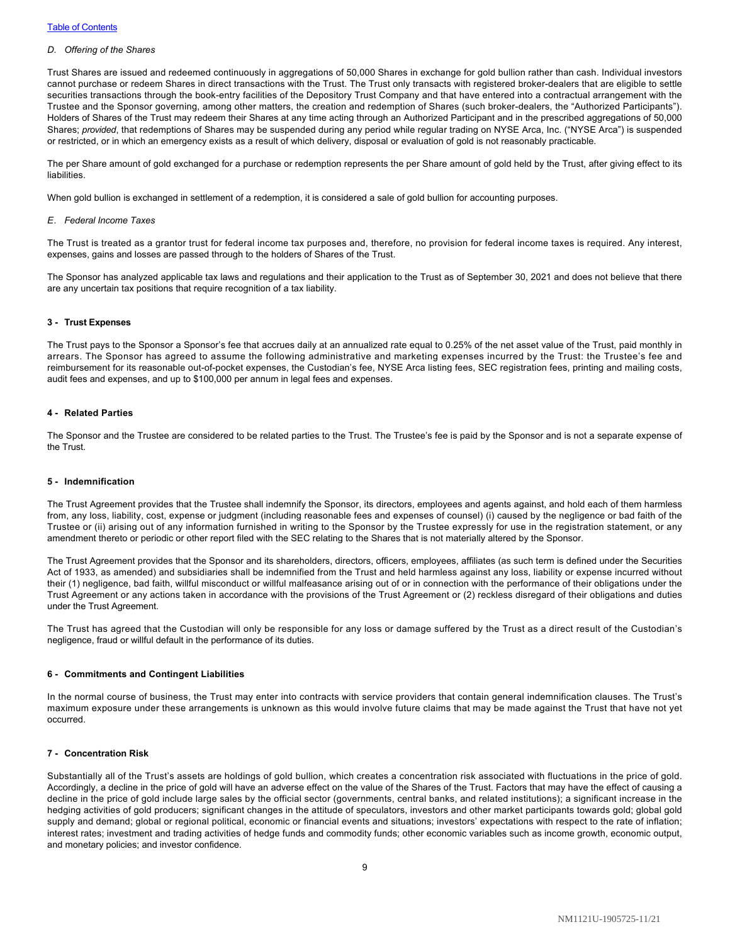### *D. Offering of the Shares*

Trust Shares are issued and redeemed continuously in aggregations of 50,000 Shares in exchange for gold bullion rather than cash. Individual investors cannot purchase or redeem Shares in direct transactions with the Trust. The Trust only transacts with registered broker-dealers that are eligible to settle securities transactions through the book-entry facilities of the Depository Trust Company and that have entered into a contractual arrangement with the Trustee and the Sponsor governing, among other matters, the creation and redemption of Shares (such broker-dealers, the "Authorized Participants"). Holders of Shares of the Trust may redeem their Shares at any time acting through an Authorized Participant and in the prescribed aggregations of 50,000 Shares; *provided*, that redemptions of Shares may be suspended during any period while regular trading on NYSE Arca, Inc. ("NYSE Arca") is suspended or restricted, or in which an emergency exists as a result of which delivery, disposal or evaluation of gold is not reasonably practicable.

The per Share amount of gold exchanged for a purchase or redemption represents the per Share amount of gold held by the Trust, after giving effect to its liabilities.

When gold bullion is exchanged in settlement of a redemption, it is considered a sale of gold bullion for accounting purposes.

#### *E. Federal Income Taxes*

The Trust is treated as a grantor trust for federal income tax purposes and, therefore, no provision for federal income taxes is required. Any interest, expenses, gains and losses are passed through to the holders of Shares of the Trust.

The Sponsor has analyzed applicable tax laws and regulations and their application to the Trust as of September 30, 2021 and does not believe that there are any uncertain tax positions that require recognition of a tax liability.

#### **3 - Trust Expenses**

The Trust pays to the Sponsor a Sponsor's fee that accrues daily at an annualized rate equal to 0.25% of the net asset value of the Trust, paid monthly in arrears. The Sponsor has agreed to assume the following administrative and marketing expenses incurred by the Trust: the Trustee's fee and reimbursement for its reasonable out-of-pocket expenses, the Custodian's fee, NYSE Arca listing fees, SEC registration fees, printing and mailing costs, audit fees and expenses, and up to \$100,000 per annum in legal fees and expenses.

# **4 - Related Parties**

The Sponsor and the Trustee are considered to be related parties to the Trust. The Trustee's fee is paid by the Sponsor and is not a separate expense of the Trust.

#### **5 - Indemnification**

The Trust Agreement provides that the Trustee shall indemnify the Sponsor, its directors, employees and agents against, and hold each of them harmless from, any loss, liability, cost, expense or judgment (including reasonable fees and expenses of counsel) (i) caused by the negligence or bad faith of the Trustee or (ii) arising out of any information furnished in writing to the Sponsor by the Trustee expressly for use in the registration statement, or any amendment thereto or periodic or other report filed with the SEC relating to the Shares that is not materially altered by the Sponsor.

The Trust Agreement provides that the Sponsor and its shareholders, directors, officers, employees, affiliates (as such term is defined under the Securities Act of 1933, as amended) and subsidiaries shall be indemnified from the Trust and held harmless against any loss, liability or expense incurred without their (1) negligence, bad faith, willful misconduct or willful malfeasance arising out of or in connection with the performance of their obligations under the Trust Agreement or any actions taken in accordance with the provisions of the Trust Agreement or (2) reckless disregard of their obligations and duties under the Trust Agreement.

The Trust has agreed that the Custodian will only be responsible for any loss or damage suffered by the Trust as a direct result of the Custodian's negligence, fraud or willful default in the performance of its duties.

#### **6 - Commitments and Contingent Liabilities**

In the normal course of business, the Trust may enter into contracts with service providers that contain general indemnification clauses. The Trust's maximum exposure under these arrangements is unknown as this would involve future claims that may be made against the Trust that have not yet occurred.

#### **7 - Concentration Risk**

Substantially all of the Trust's assets are holdings of gold bullion, which creates a concentration risk associated with fluctuations in the price of gold. Accordingly, a decline in the price of gold will have an adverse effect on the value of the Shares of the Trust. Factors that may have the effect of causing a decline in the price of gold include large sales by the official sector (governments, central banks, and related institutions); a significant increase in the hedging activities of gold producers; significant changes in the attitude of speculators, investors and other market participants towards gold; global gold supply and demand; global or regional political, economic or financial events and situations; investors' expectations with respect to the rate of inflation; interest rates; investment and trading activities of hedge funds and commodity funds; other economic variables such as income growth, economic output, and monetary policies; and investor confidence.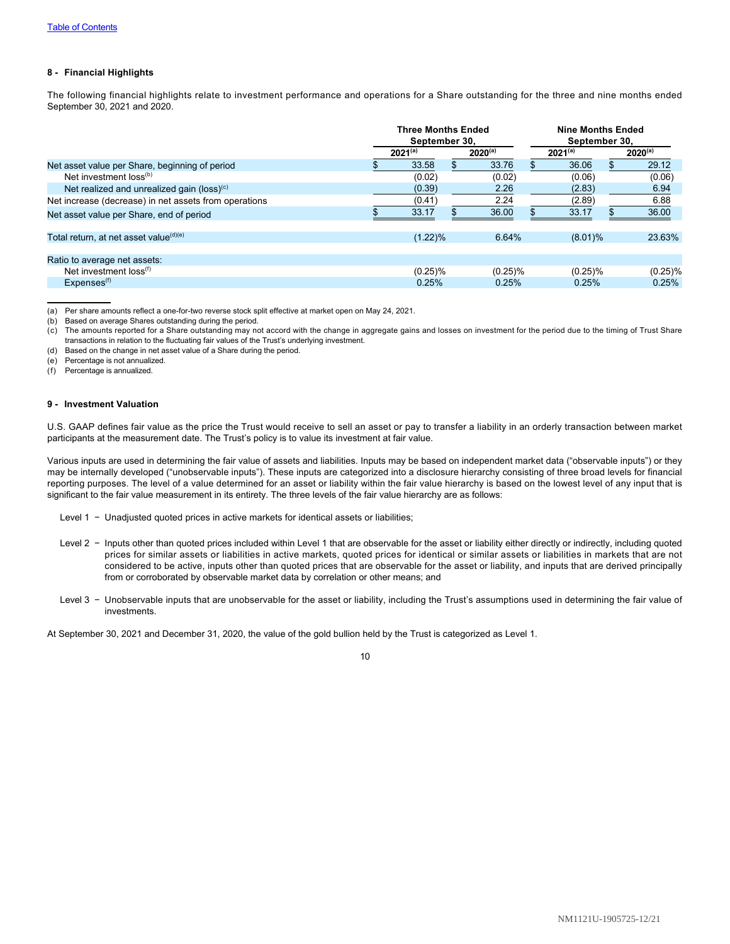# **8 - Financial Highlights**

The following financial highlights relate to investment performance and operations for a Share outstanding for the three and nine months ended September 30, 2021 and 2020.

|                                                       | <b>Three Months Ended</b><br>September 30. |              |  | <b>Nine Months Ended</b><br>September 30. |  |              |  |              |
|-------------------------------------------------------|--------------------------------------------|--------------|--|-------------------------------------------|--|--------------|--|--------------|
|                                                       |                                            | $2021^{(a)}$ |  | $2020^{(a)}$                              |  | $2021^{(a)}$ |  | $2020^{(a)}$ |
| Net asset value per Share, beginning of period        |                                            | 33.58        |  | 33.76                                     |  | 36.06        |  | 29.12        |
| Net investment loss <sup>(b)</sup>                    |                                            | (0.02)       |  | (0.02)                                    |  | (0.06)       |  | (0.06)       |
| Net realized and unrealized gain (loss) $(c)$         |                                            | (0.39)       |  | 2.26                                      |  | (2.83)       |  | 6.94         |
| Net increase (decrease) in net assets from operations |                                            | (0.41)       |  | 2.24                                      |  | (2.89)       |  | 6.88         |
| Net asset value per Share, end of period              |                                            | 33.17        |  | 36.00                                     |  | 33.17        |  | 36.00        |
| Total return, at net asset value(d)(e)                |                                            | (1.22)%      |  | 6.64%                                     |  | $(8.01)\%$   |  | 23.63%       |
| Ratio to average net assets:                          |                                            |              |  |                                           |  |              |  |              |
| Net investment loss <sup>(f)</sup>                    |                                            | $(0.25)\%$   |  | $(0.25)\%$                                |  | $(0.25)\%$   |  | $(0.25)\%$   |
| Expenses <sup>(f)</sup>                               |                                            | 0.25%        |  | 0.25%                                     |  | 0.25%        |  | 0.25%        |

(a) Per share amounts reflect a one-for-two reverse stock split effective at market open on May 24, 2021.

(b) Based on average Shares outstanding during the period.

- (c) The amounts reported for a Share outstanding may not accord with the change in aggregate gains and losses on investment for the period due to the timing of Trust Share transactions in relation to the fluctuating fair values of the Trust's underlying investment.
- (d) Based on the change in net asset value of a Share during the period.

(e) Percentage is not annualized.

(f) Percentage is annualized.

#### **9 - Investment Valuation**

U.S. GAAP defines fair value as the price the Trust would receive to sell an asset or pay to transfer a liability in an orderly transaction between market participants at the measurement date. The Trust's policy is to value its investment at fair value.

Various inputs are used in determining the fair value of assets and liabilities. Inputs may be based on independent market data ("observable inputs") or they may be internally developed ("unobservable inputs"). These inputs are categorized into a disclosure hierarchy consisting of three broad levels for financial reporting purposes. The level of a value determined for an asset or liability within the fair value hierarchy is based on the lowest level of any input that is significant to the fair value measurement in its entirety. The three levels of the fair value hierarchy are as follows:

Level 1 − Unadjusted quoted prices in active markets for identical assets or liabilities;

- Level 2 Inputs other than quoted prices included within Level 1 that are observable for the asset or liability either directly or indirectly, including quoted prices for similar assets or liabilities in active markets, quoted prices for identical or similar assets or liabilities in markets that are not considered to be active, inputs other than quoted prices that are observable for the asset or liability, and inputs that are derived principally from or corroborated by observable market data by correlation or other means; and
- Level 3 Unobservable inputs that are unobservable for the asset or liability, including the Trust's assumptions used in determining the fair value of investments.

At September 30, 2021 and December 31, 2020, the value of the gold bullion held by the Trust is categorized as Level 1.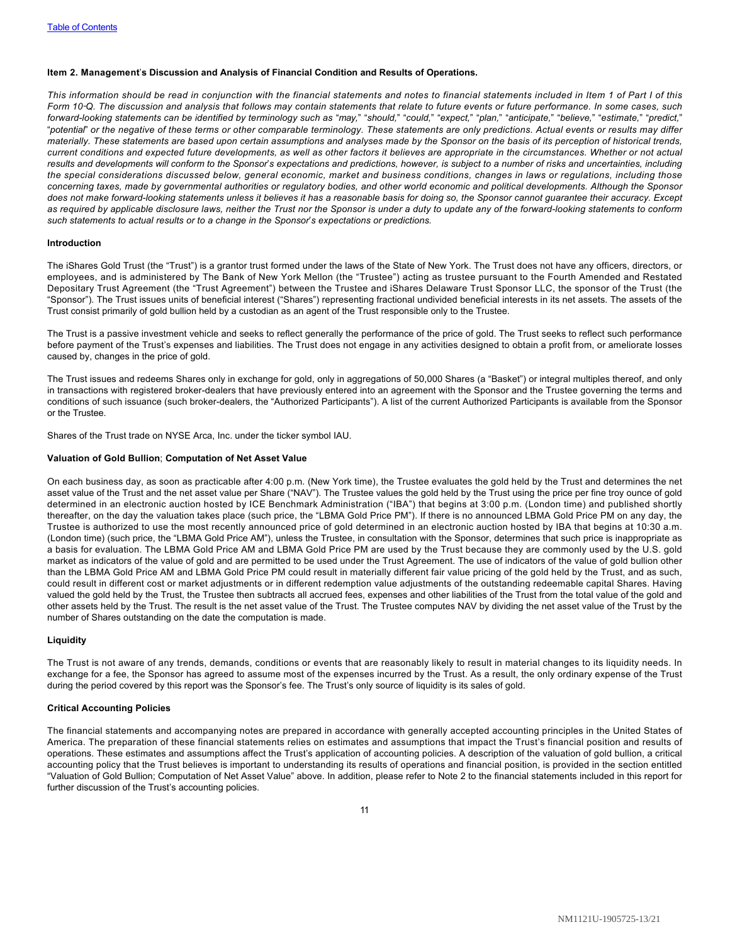# <span id="page-12-0"></span>**Item 2. Management**'**s Discussion and Analysis of Financial Condition and Results of Operations.**

*This information should be read in conjunction with the financial statements and notes to financial statements included in Item 1 of Part I of this Form 10*‑*Q. The discussion and analysis that follows may contain statements that relate to future events or future performance. In some cases, such* forward-looking statements can be identified by terminology such as "may," "should," "could," "expect," "plan," "anticipate," "believe," "estimate," "predict," "*potential*" *or the negative of these terms or other comparable terminology. These statements are only predictions. Actual events or results may differ materially. These statements are based upon certain assumptions and analyses made by the Sponsor on the basis of its perception of historical trends, current conditions and expected future developments, as well as other factors it believes are appropriate in the circumstances. Whether or not actual results and developments will conform to the Sponsor*'*s expectations and predictions, however, is subject to a number of risks and uncertainties, including the special considerations discussed below, general economic, market and business conditions, changes in laws or regulations, including those concerning taxes, made by governmental authorities or regulatory bodies, and other world economic and political developments. Although the Sponsor does not make forward-looking statements unless it believes it has a reasonable basis for doing so, the Sponsor cannot guarantee their accuracy. Except as required by applicable disclosure laws, neither the Trust nor the Sponsor is under a duty to update any of the forward-looking statements to conform such statements to actual results or to a change in the Sponsor*'*s expectations or predictions.*

# **Introduction**

The iShares Gold Trust (the "Trust") is a grantor trust formed under the laws of the State of New York. The Trust does not have any officers, directors, or employees, and is administered by The Bank of New York Mellon (the "Trustee") acting as trustee pursuant to the Fourth Amended and Restated Depositary Trust Agreement (the "Trust Agreement") between the Trustee and iShares Delaware Trust Sponsor LLC, the sponsor of the Trust (the "Sponsor"). The Trust issues units of beneficial interest ("Shares") representing fractional undivided beneficial interests in its net assets. The assets of the Trust consist primarily of gold bullion held by a custodian as an agent of the Trust responsible only to the Trustee.

The Trust is a passive investment vehicle and seeks to reflect generally the performance of the price of gold. The Trust seeks to reflect such performance before payment of the Trust's expenses and liabilities. The Trust does not engage in any activities designed to obtain a profit from, or ameliorate losses caused by, changes in the price of gold.

The Trust issues and redeems Shares only in exchange for gold, only in aggregations of 50,000 Shares (a "Basket") or integral multiples thereof, and only in transactions with registered broker-dealers that have previously entered into an agreement with the Sponsor and the Trustee governing the terms and conditions of such issuance (such broker-dealers, the "Authorized Participants"). A list of the current Authorized Participants is available from the Sponsor or the Trustee.

Shares of the Trust trade on NYSE Arca, Inc. under the ticker symbol IAU.

#### **Valuation of Gold Bullion**; **Computation of Net Asset Value**

On each business day, as soon as practicable after 4:00 p.m. (New York time), the Trustee evaluates the gold held by the Trust and determines the net asset value of the Trust and the net asset value per Share ("NAV"). The Trustee values the gold held by the Trust using the price per fine troy ounce of gold determined in an electronic auction hosted by ICE Benchmark Administration ("IBA") that begins at 3:00 p.m. (London time) and published shortly thereafter, on the day the valuation takes place (such price, the "LBMA Gold Price PM"). If there is no announced LBMA Gold Price PM on any day, the Trustee is authorized to use the most recently announced price of gold determined in an electronic auction hosted by IBA that begins at 10:30 a.m. (London time) (such price, the "LBMA Gold Price AM"), unless the Trustee, in consultation with the Sponsor, determines that such price is inappropriate as a basis for evaluation. The LBMA Gold Price AM and LBMA Gold Price PM are used by the Trust because they are commonly used by the U.S. gold market as indicators of the value of gold and are permitted to be used under the Trust Agreement. The use of indicators of the value of gold bullion other than the LBMA Gold Price AM and LBMA Gold Price PM could result in materially different fair value pricing of the gold held by the Trust, and as such, could result in different cost or market adjustments or in different redemption value adjustments of the outstanding redeemable capital Shares. Having valued the gold held by the Trust, the Trustee then subtracts all accrued fees, expenses and other liabilities of the Trust from the total value of the gold and other assets held by the Trust. The result is the net asset value of the Trust. The Trustee computes NAV by dividing the net asset value of the Trust by the number of Shares outstanding on the date the computation is made.

#### **Liquidity**

The Trust is not aware of any trends, demands, conditions or events that are reasonably likely to result in material changes to its liquidity needs. In exchange for a fee, the Sponsor has agreed to assume most of the expenses incurred by the Trust. As a result, the only ordinary expense of the Trust during the period covered by this report was the Sponsor's fee. The Trust's only source of liquidity is its sales of gold.

## **Critical Accounting Policies**

The financial statements and accompanying notes are prepared in accordance with generally accepted accounting principles in the United States of America. The preparation of these financial statements relies on estimates and assumptions that impact the Trust's financial position and results of operations. These estimates and assumptions affect the Trust's application of accounting policies. A description of the valuation of gold bullion, a critical accounting policy that the Trust believes is important to understanding its results of operations and financial position, is provided in the section entitled "Valuation of Gold Bullion; Computation of Net Asset Value" above. In addition, please refer to Note 2 to the financial statements included in this report for further discussion of the Trust's accounting policies.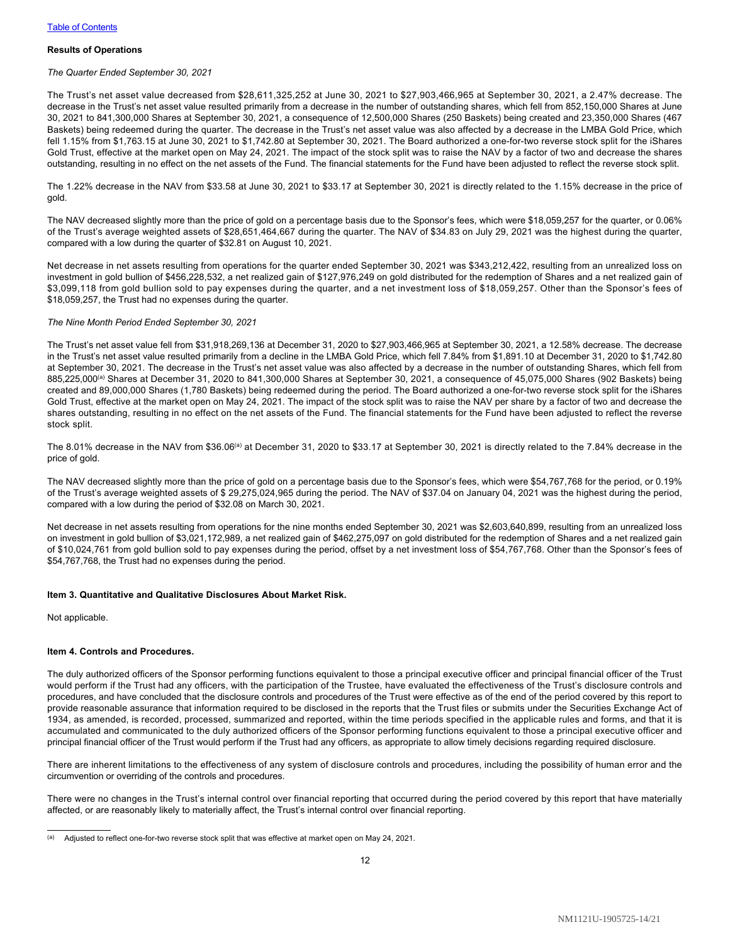## **Results of Operations**

#### *The Quarter Ended September 30, 2021*

The Trust's net asset value decreased from \$28,611,325,252 at June 30, 2021 to \$27,903,466,965 at September 30, 2021, a 2.47% decrease. The decrease in the Trust's net asset value resulted primarily from a decrease in the number of outstanding shares, which fell from 852,150,000 Shares at June 30, 2021 to 841,300,000 Shares at September 30, 2021, a consequence of 12,500,000 Shares (250 Baskets) being created and 23,350,000 Shares (467 Baskets) being redeemed during the quarter. The decrease in the Trust's net asset value was also affected by a decrease in the LMBA Gold Price, which fell 1.15% from \$1,763.15 at June 30, 2021 to \$1,742.80 at September 30, 2021. The Board authorized a one-for-two reverse stock split for the iShares Gold Trust, effective at the market open on May 24, 2021. The impact of the stock split was to raise the NAV by a factor of two and decrease the shares outstanding, resulting in no effect on the net assets of the Fund. The financial statements for the Fund have been adjusted to reflect the reverse stock split.

The 1.22% decrease in the NAV from \$33.58 at June 30, 2021 to \$33.17 at September 30, 2021 is directly related to the 1.15% decrease in the price of gold.

The NAV decreased slightly more than the price of gold on a percentage basis due to the Sponsor's fees, which were \$18,059,257 for the quarter, or 0.06% of the Trust's average weighted assets of \$28,651,464,667 during the quarter. The NAV of \$34.83 on July 29, 2021 was the highest during the quarter, compared with a low during the quarter of \$32.81 on August 10, 2021.

Net decrease in net assets resulting from operations for the quarter ended September 30, 2021 was \$343,212,422, resulting from an unrealized loss on investment in gold bullion of \$456,228,532, a net realized gain of \$127,976,249 on gold distributed for the redemption of Shares and a net realized gain of \$3,099,118 from gold bullion sold to pay expenses during the quarter, and a net investment loss of \$18,059,257. Other than the Sponsor's fees of \$18,059,257, the Trust had no expenses during the quarter.

#### *The Nine Month Period Ended September 30, 2021*

The Trust's net asset value fell from \$31,918,269,136 at December 31, 2020 to \$27,903,466,965 at September 30, 2021, a 12.58% decrease. The decrease in the Trust's net asset value resulted primarily from a decline in the LMBA Gold Price, which fell 7.84% from \$1,891.10 at December 31, 2020 to \$1,742.80 at September 30, 2021. The decrease in the Trust's net asset value was also affected by a decrease in the number of outstanding Shares, which fell from 885,225,000<sup>(a)</sup> Shares at December 31, 2020 to 841,300,000 Shares at September 30, 2021, a consequence of 45,075,000 Shares (902 Baskets) being created and 89,000,000 Shares (1,780 Baskets) being redeemed during the period. The Board authorized a one-for-two reverse stock split for the iShares Gold Trust, effective at the market open on May 24, 2021. The impact of the stock split was to raise the NAV per share by a factor of two and decrease the shares outstanding, resulting in no effect on the net assets of the Fund. The financial statements for the Fund have been adjusted to reflect the reverse stock split.

The 8.01% decrease in the NAV from \$36.06<sup>(a)</sup> at December 31, 2020 to \$33.17 at September 30, 2021 is directly related to the 7.84% decrease in the price of gold.

The NAV decreased slightly more than the price of gold on a percentage basis due to the Sponsor's fees, which were \$54,767,768 for the period, or 0.19% of the Trust's average weighted assets of \$ 29,275,024,965 during the period. The NAV of \$37.04 on January 04, 2021 was the highest during the period, compared with a low during the period of \$32.08 on March 30, 2021.

Net decrease in net assets resulting from operations for the nine months ended September 30, 2021 was \$2,603,640,899, resulting from an unrealized loss on investment in gold bullion of \$3,021,172,989, a net realized gain of \$462,275,097 on gold distributed for the redemption of Shares and a net realized gain of \$10,024,761 from gold bullion sold to pay expenses during the period, offset by a net investment loss of \$54,767,768. Other than the Sponsor's fees of \$54,767,768, the Trust had no expenses during the period.

#### <span id="page-13-0"></span>**Item 3. Quantitative and Qualitative Disclosures About Market Risk.**

Not applicable.

#### <span id="page-13-1"></span>**Item 4. Controls and Procedures.**

The duly authorized officers of the Sponsor performing functions equivalent to those a principal executive officer and principal financial officer of the Trust would perform if the Trust had any officers, with the participation of the Trustee, have evaluated the effectiveness of the Trust's disclosure controls and procedures, and have concluded that the disclosure controls and procedures of the Trust were effective as of the end of the period covered by this report to provide reasonable assurance that information required to be disclosed in the reports that the Trust files or submits under the Securities Exchange Act of 1934, as amended, is recorded, processed, summarized and reported, within the time periods specified in the applicable rules and forms, and that it is accumulated and communicated to the duly authorized officers of the Sponsor performing functions equivalent to those a principal executive officer and principal financial officer of the Trust would perform if the Trust had any officers, as appropriate to allow timely decisions regarding required disclosure.

There are inherent limitations to the effectiveness of any system of disclosure controls and procedures, including the possibility of human error and the circumvention or overriding of the controls and procedures.

There were no changes in the Trust's internal control over financial reporting that occurred during the period covered by this report that have materially affected, or are reasonably likely to materially affect, the Trust's internal control over financial reporting.

<sup>(</sup>a) Adjusted to reflect one-for-two reverse stock split that was effective at market open on May 24, 2021.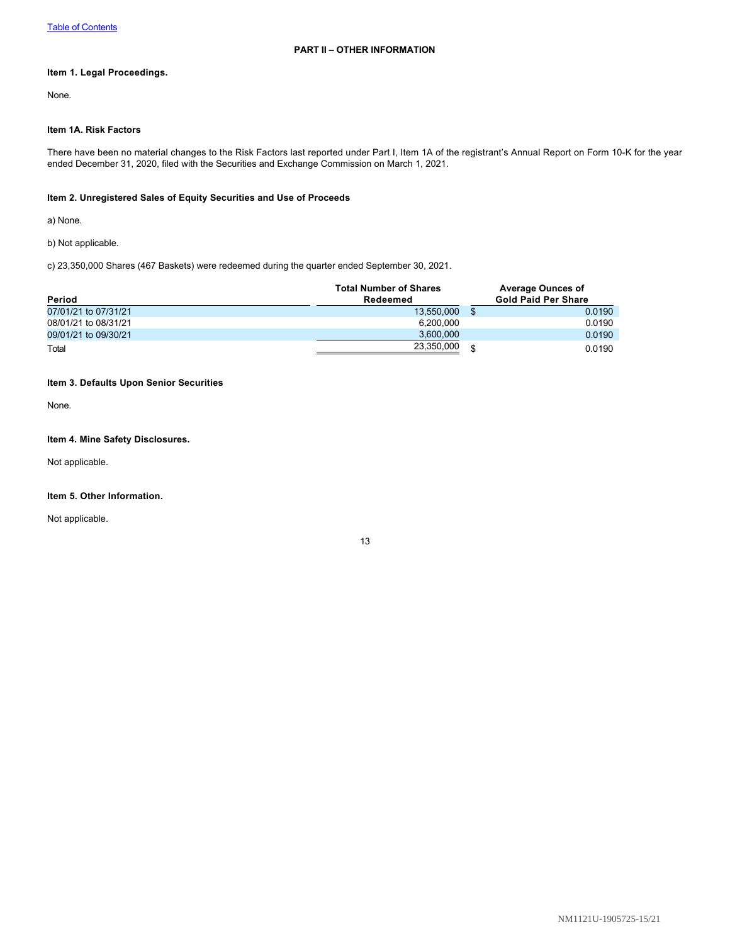# <span id="page-14-1"></span><span id="page-14-0"></span>**Item 1. Legal Proceedings.**

None.

# <span id="page-14-2"></span>**Item 1A. Risk Factors**

There have been no material changes to the Risk Factors last reported under Part I, Item 1A of the registrant's Annual Report on Form 10-K for the year ended December 31, 2020, filed with the Securities and Exchange Commission on March 1, 2021.

# <span id="page-14-3"></span>**Item 2. Unregistered Sales of Equity Securities and Use of Proceeds**

a) None.

b) Not applicable.

c) 23,350,000 Shares (467 Baskets) were redeemed during the quarter ended September 30, 2021.

| Period               | <b>Total Number of Shares</b><br>Redeemed | <b>Average Ounces of</b><br><b>Gold Paid Per Share</b> |
|----------------------|-------------------------------------------|--------------------------------------------------------|
| 07/01/21 to 07/31/21 | 13.550.000                                | 0.0190                                                 |
| 08/01/21 to 08/31/21 | 6.200.000                                 | 0.0190                                                 |
| 09/01/21 to 09/30/21 | 3,600,000                                 | 0.0190                                                 |
| Total                | 23,350,000                                | 0.0190                                                 |

# <span id="page-14-4"></span>**Item 3. Defaults Upon Senior Securities**

None.

# <span id="page-14-5"></span>**Item 4. Mine Safety Disclosures.**

Not applicable.

# <span id="page-14-6"></span>**Item 5. Other Information.**

Not applicable.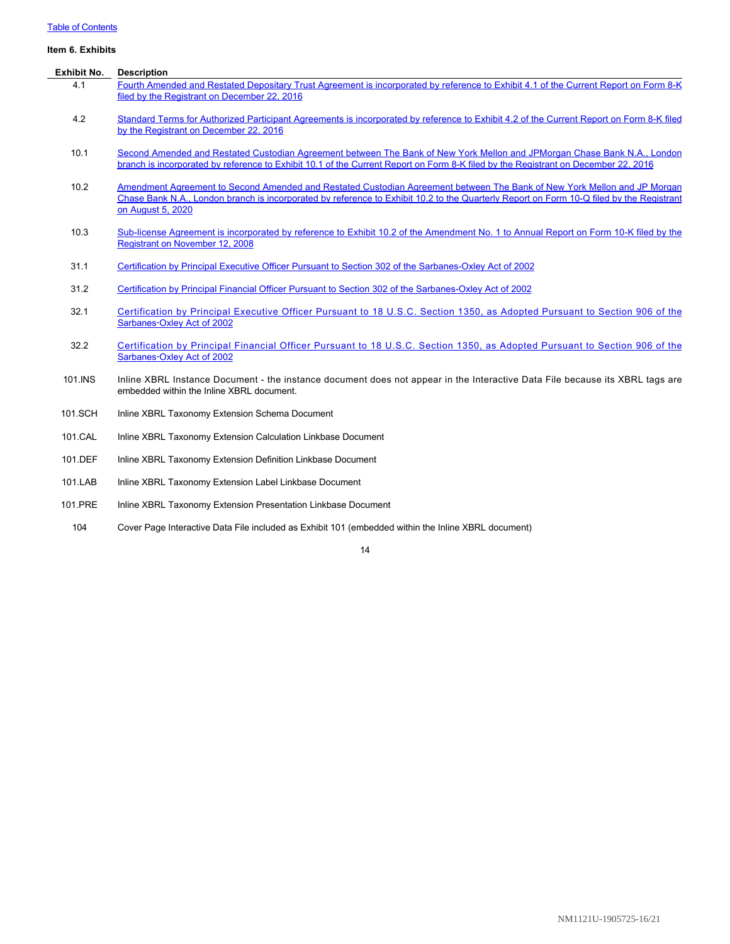# [Table of Contents](#page-1-0)

<span id="page-15-0"></span>

| Item 6. Exhibits |                                                                                                                                                                                                                                                                                           |
|------------------|-------------------------------------------------------------------------------------------------------------------------------------------------------------------------------------------------------------------------------------------------------------------------------------------|
| Exhibit No.      | <b>Description</b>                                                                                                                                                                                                                                                                        |
| 4.1              | Fourth Amended and Restated Depositary Trust Agreement is incorporated by reference to Exhibit 4.1 of the Current Report on Form 8-K<br>filed by the Registrant on December 22, 2016                                                                                                      |
| 4.2              | Standard Terms for Authorized Participant Agreements is incorporated by reference to Exhibit 4.2 of the Current Report on Form 8-K filed<br>by the Registrant on December 22, 2016                                                                                                        |
| 10.1             | Second Amended and Restated Custodian Agreement between The Bank of New York Mellon and JPMorgan Chase Bank N.A., London<br>branch is incorporated by reference to Exhibit 10.1 of the Current Report on Form 8-K filed by the Registrant on December 22, 2016                            |
| 10.2             | Amendment Agreement to Second Amended and Restated Custodian Agreement between The Bank of New York Mellon and JP Morgan<br>Chase Bank N.A., London branch is incorporated by reference to Exhibit 10.2 to the Quarterly Report on Form 10-Q filed by the Registrant<br>on August 5, 2020 |
| 10.3             | Sub-license Agreement is incorporated by reference to Exhibit 10.2 of the Amendment No. 1 to Annual Report on Form 10-K filed by the<br>Registrant on November 12, 2008                                                                                                                   |
| 31.1             | Certification by Principal Executive Officer Pursuant to Section 302 of the Sarbanes-Oxley Act of 2002                                                                                                                                                                                    |
| 31.2             | Certification by Principal Financial Officer Pursuant to Section 302 of the Sarbanes-Oxley Act of 2002                                                                                                                                                                                    |
| 32.1             | Certification by Principal Executive Officer Pursuant to 18 U.S.C. Section 1350, as Adopted Pursuant to Section 906 of the<br>Sarbanes-Oxley Act of 2002                                                                                                                                  |
| 32.2             | Certification by Principal Financial Officer Pursuant to 18 U.S.C. Section 1350, as Adopted Pursuant to Section 906 of the<br>Sarbanes-Oxley Act of 2002                                                                                                                                  |
| 101.INS          | Inline XBRL Instance Document - the instance document does not appear in the Interactive Data File because its XBRL tags are<br>embedded within the Inline XBRL document.                                                                                                                 |
| 101.SCH          | Inline XBRL Taxonomy Extension Schema Document                                                                                                                                                                                                                                            |
| 101.CAL          | Inline XBRL Taxonomy Extension Calculation Linkbase Document                                                                                                                                                                                                                              |
| 101.DEF          | Inline XBRL Taxonomy Extension Definition Linkbase Document                                                                                                                                                                                                                               |
| 101.LAB          | Inline XBRL Taxonomy Extension Label Linkbase Document                                                                                                                                                                                                                                    |

- 101.PRE Inline XBRL Taxonomy Extension Presentation Linkbase Document
- 104 Cover Page Interactive Data File included as Exhibit 101 (embedded within the Inline XBRL document)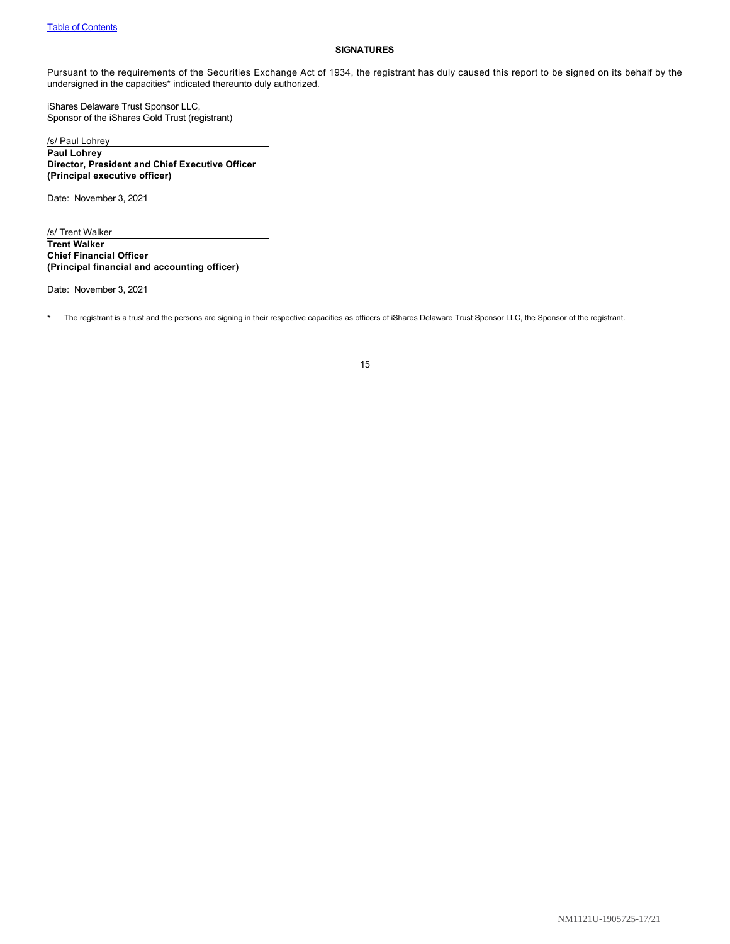# <span id="page-16-0"></span>**SIGNATURES**

Pursuant to the requirements of the Securities Exchange Act of 1934, the registrant has duly caused this report to be signed on its behalf by the undersigned in the capacities\* indicated thereunto duly authorized.

iShares Delaware Trust Sponsor LLC, Sponsor of the iShares Gold Trust (registrant)

/s/ Paul Lohrey **Paul Lohrey Director, President and Chief Executive Officer (Principal executive officer)**

Date: November 3, 2021

/s/ Trent Walker **Trent Walker Chief Financial Officer (Principal financial and accounting officer)**

Date: November 3, 2021

\* The registrant is a trust and the persons are signing in their respective capacities as officers of iShares Delaware Trust Sponsor LLC, the Sponsor of the registrant.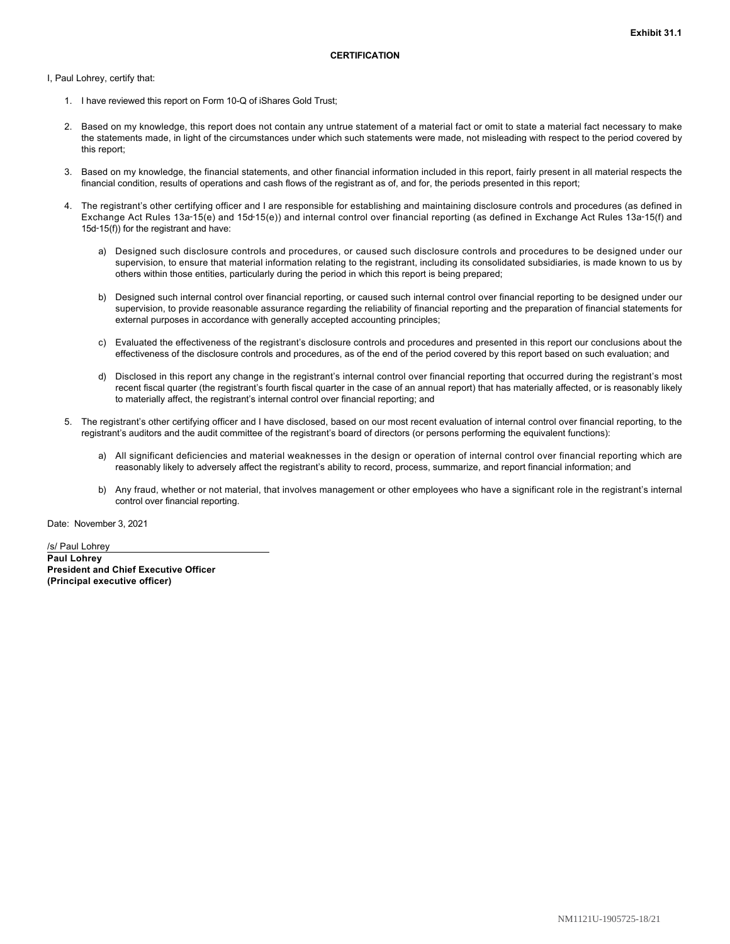<span id="page-17-0"></span>I, Paul Lohrey, certify that:

- 1. I have reviewed this report on Form 10-Q of iShares Gold Trust;
- 2. Based on my knowledge, this report does not contain any untrue statement of a material fact or omit to state a material fact necessary to make the statements made, in light of the circumstances under which such statements were made, not misleading with respect to the period covered by this report;
- 3. Based on my knowledge, the financial statements, and other financial information included in this report, fairly present in all material respects the financial condition, results of operations and cash flows of the registrant as of, and for, the periods presented in this report;
- 4. The registrant's other certifying officer and I are responsible for establishing and maintaining disclosure controls and procedures (as defined in Exchange Act Rules 13a-15(e) and 15d-15(e)) and internal control over financial reporting (as defined in Exchange Act Rules 13a-15(f) and 15d‑15(f)) for the registrant and have:
	- a) Designed such disclosure controls and procedures, or caused such disclosure controls and procedures to be designed under our supervision, to ensure that material information relating to the registrant, including its consolidated subsidiaries, is made known to us by others within those entities, particularly during the period in which this report is being prepared;
	- b) Designed such internal control over financial reporting, or caused such internal control over financial reporting to be designed under our supervision, to provide reasonable assurance regarding the reliability of financial reporting and the preparation of financial statements for external purposes in accordance with generally accepted accounting principles;
	- c) Evaluated the effectiveness of the registrant's disclosure controls and procedures and presented in this report our conclusions about the effectiveness of the disclosure controls and procedures, as of the end of the period covered by this report based on such evaluation; and
	- d) Disclosed in this report any change in the registrant's internal control over financial reporting that occurred during the registrant's most recent fiscal quarter (the registrant's fourth fiscal quarter in the case of an annual report) that has materially affected, or is reasonably likely to materially affect, the registrant's internal control over financial reporting; and
- 5. The registrant's other certifying officer and I have disclosed, based on our most recent evaluation of internal control over financial reporting, to the registrant's auditors and the audit committee of the registrant's board of directors (or persons performing the equivalent functions):
	- a) All significant deficiencies and material weaknesses in the design or operation of internal control over financial reporting which are reasonably likely to adversely affect the registrant's ability to record, process, summarize, and report financial information; and
	- b) Any fraud, whether or not material, that involves management or other employees who have a significant role in the registrant's internal control over financial reporting.

Date: November 3, 2021

/s/ Paul Lohrey **Paul Lohrey President and Chief Executive Officer (Principal executive officer)**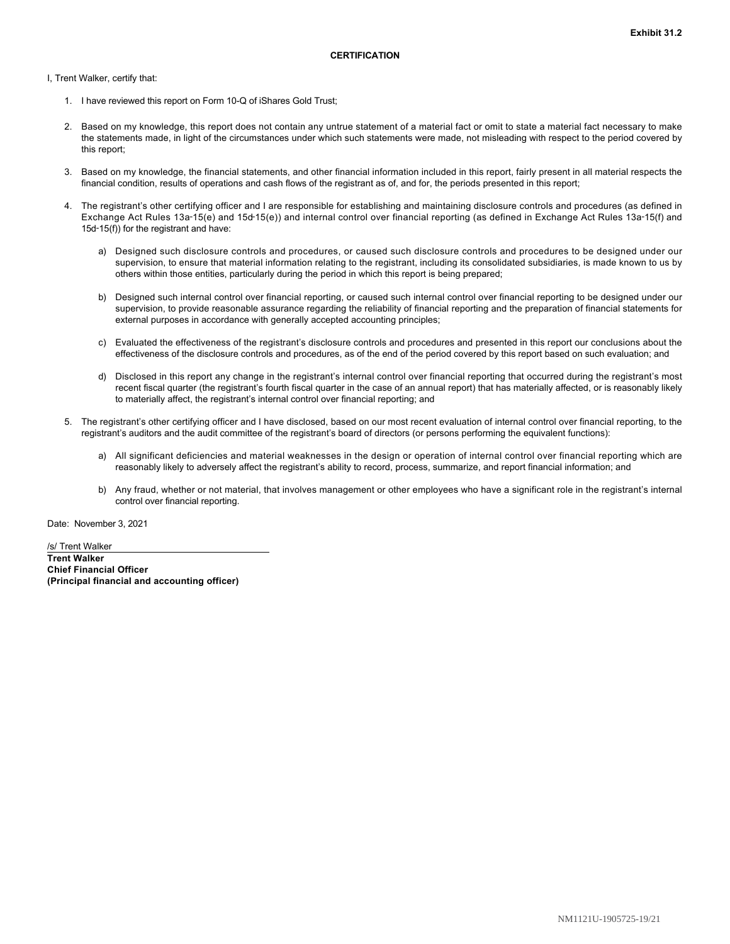<span id="page-18-0"></span>I, Trent Walker, certify that:

- 1. I have reviewed this report on Form 10-Q of iShares Gold Trust;
- 2. Based on my knowledge, this report does not contain any untrue statement of a material fact or omit to state a material fact necessary to make the statements made, in light of the circumstances under which such statements were made, not misleading with respect to the period covered by this report;
- 3. Based on my knowledge, the financial statements, and other financial information included in this report, fairly present in all material respects the financial condition, results of operations and cash flows of the registrant as of, and for, the periods presented in this report;
- 4. The registrant's other certifying officer and I are responsible for establishing and maintaining disclosure controls and procedures (as defined in Exchange Act Rules 13a-15(e) and 15d-15(e)) and internal control over financial reporting (as defined in Exchange Act Rules 13a-15(f) and 15d‑15(f)) for the registrant and have:
	- a) Designed such disclosure controls and procedures, or caused such disclosure controls and procedures to be designed under our supervision, to ensure that material information relating to the registrant, including its consolidated subsidiaries, is made known to us by others within those entities, particularly during the period in which this report is being prepared;
	- b) Designed such internal control over financial reporting, or caused such internal control over financial reporting to be designed under our supervision, to provide reasonable assurance regarding the reliability of financial reporting and the preparation of financial statements for external purposes in accordance with generally accepted accounting principles;
	- c) Evaluated the effectiveness of the registrant's disclosure controls and procedures and presented in this report our conclusions about the effectiveness of the disclosure controls and procedures, as of the end of the period covered by this report based on such evaluation; and
	- d) Disclosed in this report any change in the registrant's internal control over financial reporting that occurred during the registrant's most recent fiscal quarter (the registrant's fourth fiscal quarter in the case of an annual report) that has materially affected, or is reasonably likely to materially affect, the registrant's internal control over financial reporting; and
- 5. The registrant's other certifying officer and I have disclosed, based on our most recent evaluation of internal control over financial reporting, to the registrant's auditors and the audit committee of the registrant's board of directors (or persons performing the equivalent functions):
	- a) All significant deficiencies and material weaknesses in the design or operation of internal control over financial reporting which are reasonably likely to adversely affect the registrant's ability to record, process, summarize, and report financial information; and
	- b) Any fraud, whether or not material, that involves management or other employees who have a significant role in the registrant's internal control over financial reporting.

Date: November 3, 2021

/s/ Trent Walker **Trent Walker Chief Financial Officer (Principal financial and accounting officer)**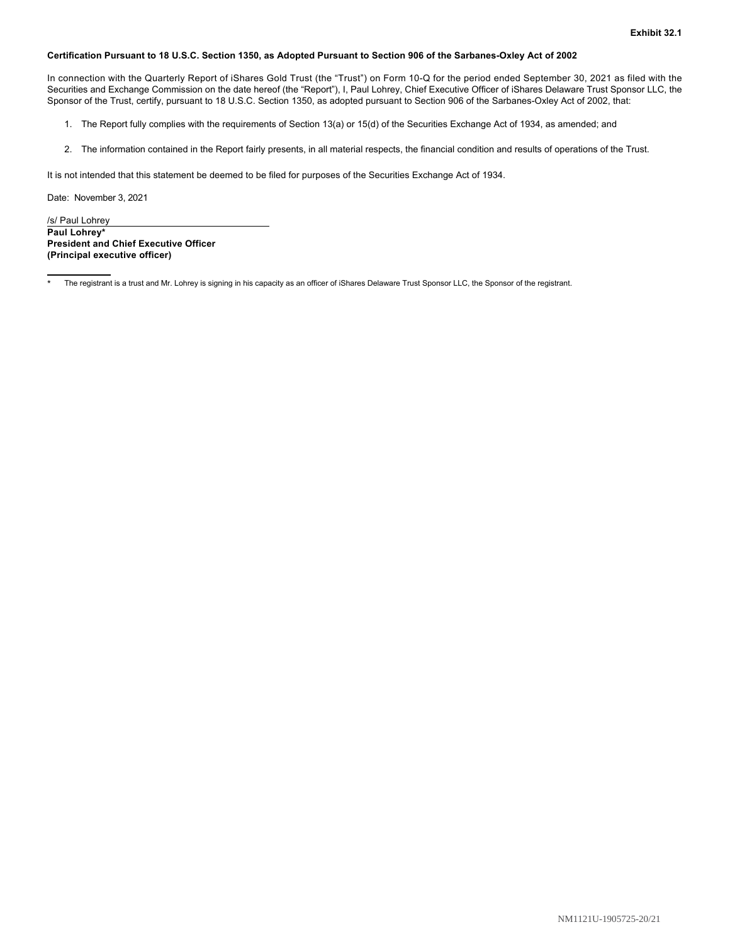# <span id="page-19-0"></span>**Certification Pursuant to 18 U.S.C. Section 1350, as Adopted Pursuant to Section 906 of the Sarbanes-Oxley Act of 2002**

In connection with the Quarterly Report of iShares Gold Trust (the "Trust") on Form 10-Q for the period ended September 30, 2021 as filed with the Securities and Exchange Commission on the date hereof (the "Report"), I, Paul Lohrey, Chief Executive Officer of iShares Delaware Trust Sponsor LLC, the Sponsor of the Trust, certify, pursuant to 18 U.S.C. Section 1350, as adopted pursuant to Section 906 of the Sarbanes-Oxley Act of 2002, that:

- 1. The Report fully complies with the requirements of Section 13(a) or 15(d) of the Securities Exchange Act of 1934, as amended; and
- 2. The information contained in the Report fairly presents, in all material respects, the financial condition and results of operations of the Trust.

It is not intended that this statement be deemed to be filed for purposes of the Securities Exchange Act of 1934.

Date: November 3, 2021

/s/ Paul Lohrey **Paul Lohrey\* President and Chief Executive Officer (Principal executive officer)**

The registrant is a trust and Mr. Lohrey is signing in his capacity as an officer of iShares Delaware Trust Sponsor LLC, the Sponsor of the registrant.